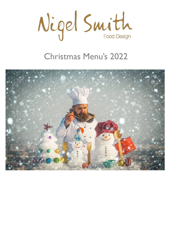

# Christmas Menu's 2022

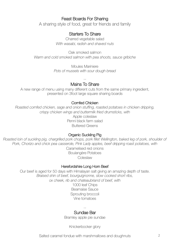# Feast Boards For Sharing

A sharing style of food, great for friends and family

# Starters To Share

Charred vegetable salad *With wasabi, radish and shaved nuts*

Oak smoked salmon *Warm and cold smoked salmon with pea shoots, sauce gribiche*

> Moules Mariniere *Pots of mussels with sour dough bread*

> > --

## Mains To Share

A new range of menu using many different cuts from the same primary ingredient, presented on 3foot large square sharing boards

#### Cornfed Chicken

*Roasted cornfed chicken, sage and onion stuffing, roasted potatoes in chicken dripping, crispy chicken wings and buttermilk fried drumsticks, with* Apple coleslaw Penni black farm salad Buttered Greens

## Organic Suckling Pig

*Roasted loin of suckling pig, chargrilled pork chops, pork fillet Wellington, baked leg of pork, shoulder of Pork, Chorizo and chick pea casserole, Pink Lady apples, beef dripping roast potatoes, with*

Caramelised red onions Boulangère Potatoes Coleslaw

#### Herefordshire Long Horn Beef

Our beef is aged for 50 days with Himalayan salt giving an amazing depth of taste. *Braised shin of beef, bourguignonne, slow cooked short ribs, ox cheek, rib and chateaubriand of beef, with*

1000 leaf Chips Bearnaise Sauce Sprouting broccoli Vine tomatoes

#### -- Sundae Bar

Bramley apple pie sundae

Knickerbocker glory

Salted caramel fondue with marshmallows and doughnuts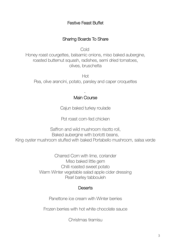# Festive Feast Buffet

## Sharing Boards To Share

Cold

Honey roast courgettes, balsamic onions, miso baked aubergine, roasted butternut squash, radishes, semi dried tomatoes, olives, bruschetta

Hot Pea, olive arancini, potato, parsley and caper croquettes

### - Main Course

Cajun baked turkey roulade

Pot roast corn-fed chicken

Saffron and wild mushroom risotto roll, Baked aubergine with borlotti beans, King oyster mushroom stuffed with baked Portabello mushroom, salsa verde

> Charred Corn with lime, coriander Miso baked little gem Chilli roasted sweet potato Warm Winter vegetable salad apple cider dressing Pearl barley tabbouleh

## **Deserts**

Panettone ice cream with Winter berries

Frozen berries with hot white chocolate sauce

Christmas tiramisu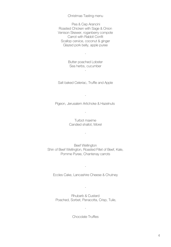#### Christmas Tasting menu

Pea & Cep Arancini Roasted Chicken with Sage & Onion Venison Skewer, roganberry compote Carrot with Rabbit Confit Scallop cervice, coconut & ginger Glazed pork belly, apple puree

> Butter poached Lobster Sea herbs, cucumber

> > -

-

Salt baked Celeriac, Truffle and Apple

Pigeon, Jerusalem Artichoke & Hazelnuts

-

-

Turbot maxime Candied shallot, Morel

-

Beef Wellington Shin of Beef Wellington, Roasted Fillet of Beef, Kale, Pomme Puree, Chantenay carrots

Eccles Cake, Lancashire Cheese & Chutney

-

Rhubarb & Custard Poached, Sorbet, Panacotta, Crisp, Tuile,

-

Chocolate Truffles

-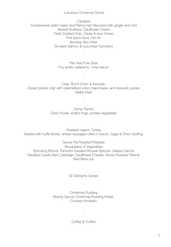#### Luxurious Christmas Dinner

**Canapes** Compressed water melon and Parma ham flavoured with ginger and mint Seared Scallops, Cauliflower Cream Triple Cooked Chip, Caviar & sour Cream Five spice duck, Hoi sin Bombay Aloo fritter Smoked Salmon & cucumber Canneloni

> Pan fried Foie Gras Puy lentils, balasamic, crisp bacon

> > -

-

Crab, Burnt Onion & Avocado *Dorset picked crab with caramelised onion mayonnaise, and Avacado purree Melba toast*

> Game Terrine Onion Puree, shallot rings, pickled vegetables

> > -

-

Roasted organic Turkey Basted with truffle Butter, artisan sausages rolled in bacon, Sage & Onion Stuffing

Goose Fat Roasted Potatoes Bouquetere of Vegetables Sprouting Brocoli, Pancetta Sautéed Brussel Sprouts, Glazed Carrots Sautéed Cavelo Nero Cabbage, Cauliflower Cheese, Honey Roasted Parsnip Red Wine Jus

St Clements Sorbet

-

-

Christmas Pudding Brandy Sauce, Christmas Pudding Parfait. Crushed Amaretto

Coffee & Truffles

-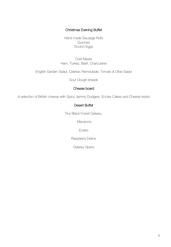#### Christmas Evening Buffet

Hand made Sausage Rolls **Quiches** Scotch Eggs

Cold Meats Ham, Turkey, Beef, Charcuterie

English Garden Salad, Celeriac Remoulade, Tomato & Olive Salad

Sour Dough breads

#### Cheese board

A selection of British cheese with Spicy Jammy Dodgers, Eccles Cakes and Cheese twists

#### Desert Buffet

Tiny Black Forest Gateau,

**Macarons** 

**Eclairs** 

Raspberry Delice

Gateau Opera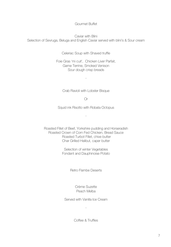#### Gourmet Buffet

Caviar with Blini Selection of Sevruga, Beluga and English Caviar served with blini's & Sour cream

Celeriac Soup with Shaved truffle

Foie Gras 'mi cuit', Chicken Liver Parfait, Game Terrine, Smoked Venison Sour dough crisp breads

Crab Ravioli with Lobster Bisque

-

Or

Squid ink Risotto with Robata Octopus

-

Roasted Fillet of Beef, Yorkshire pudding and Horseradish Roasted Crown of Corn Fed Chicken, Bread Sauce Roasted Turbot Fillet, chive butter Char Grilled Halibut, caper butter

> Selection of winter Vegetables Fondant and Dauphinoise Potato

> > Retro Flambe Deserts

Crème Suzette Peach Melba

Served with Vanilla Ice Cream

-

Coffee & Truffles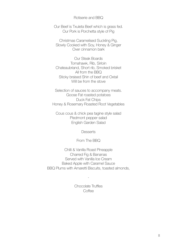Rotiserie and BBQ

Our Beef is Txuleta Beef which is grass fed. Our Pork is Porchetta style of Pig

Christmas Caramelised Suckling Pig, Slowly Cooked with Soy, Honey & Ginger Over cinnamon bark

Our Steak Boards Tomahawk, Rib, Sirloin Chateaubriand, Short rib, Smoked brisket All from the BBQ Sticky braised Shin of beef and Oxtail Will be from the stove

Selection of sauces to accompany meats. Goose Fat roasted potatoes Duck Fat Chips Honey & Rosemary Roasted Root Vegetables

Cous cous & chick pea tagine style salad Piedmont pepper salad English Garden Salad

**Desserts** 

From The BBQ

Chilli & Vanilla Roast Pineapple Charred Fig & Bananas Served with Vanilla Ice Cream Baked Apple with Caramel Sauce BBQ Plums with Amaretti Biscuits, toasted almonds,

> Chocolate Truffles **Coffee**

-